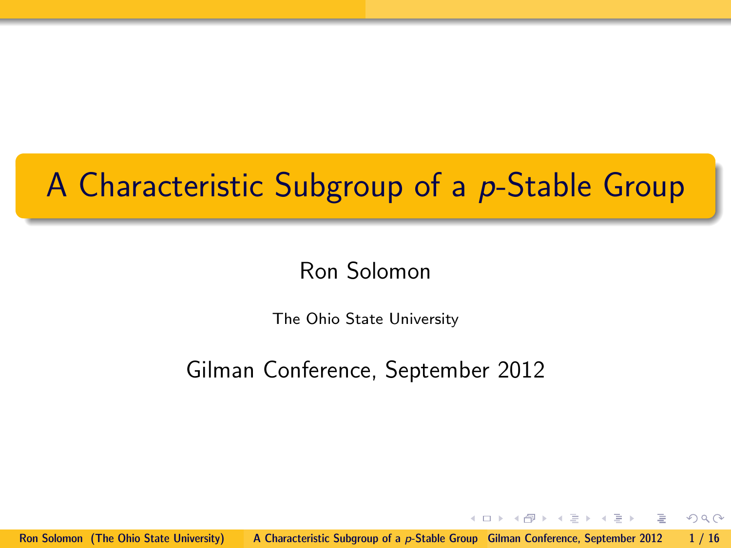# A Characteristic Subgroup of a p-Stable Group

## Ron Solomon

The Ohio State University

## Gilman Conference, September 2012

Ron Solomon (The Ohio State University) [A Characteristic Subgroup of a](#page-15-0) p-Stable Group Gilman Conference, September 2012 1/16

 $\leftarrow$   $\Box$   $\rightarrow$ 

<span id="page-0-0"></span> $\rightarrow$   $\oplus$   $\rightarrow$   $\rightarrow$   $\oplus$   $\rightarrow$   $\rightarrow$   $\oplus$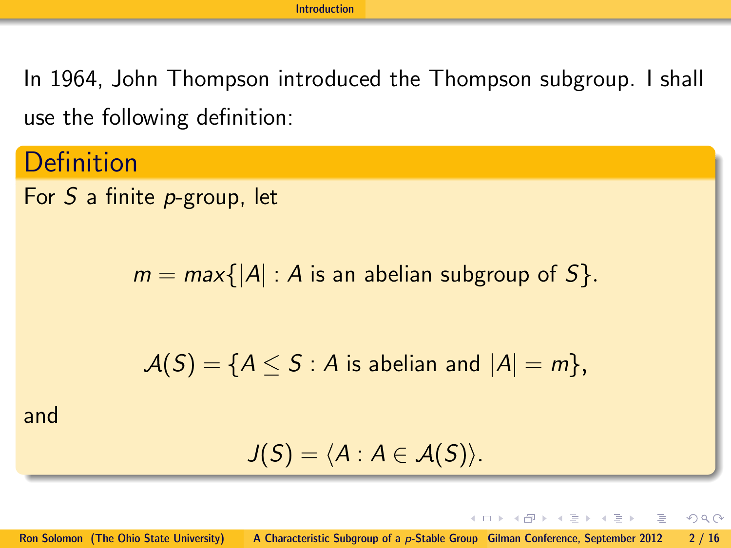In 1964, John Thompson introduced the Thompson subgroup. I shall use the following definition:

**Definition** 

For S a finite p-group, let

 $m = max{ |A| : A$  is an abelian subgroup of  $S$ .

 $A(S) = \{A \leq S : A \text{ is abelian and } |A| = m\},\$ 

and

$$
J(S)=\langle A:A\in\mathcal{A}(S)\rangle.
$$

<span id="page-1-0"></span>イロン イ御ン イヨン イヨン 一番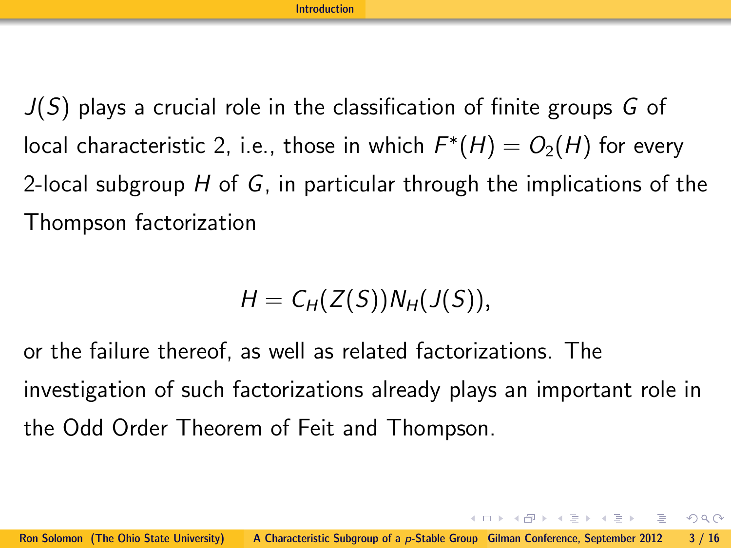$J(S)$  plays a crucial role in the classification of finite groups G of local characteristic 2, i.e., those in which  $F^*(H) = O_2(H)$  for every 2-local subgroup  $H$  of  $G$ , in particular through the implications of the Thompson factorization

$$
H=C_H(Z(S))N_H(J(S)),
$$

or the failure thereof, as well as related factorizations. The investigation of such factorizations already plays an important role in the Odd Order Theorem of Feit and Thompson.

<span id="page-2-0"></span>イロン イ御ン イヨン イヨン 一番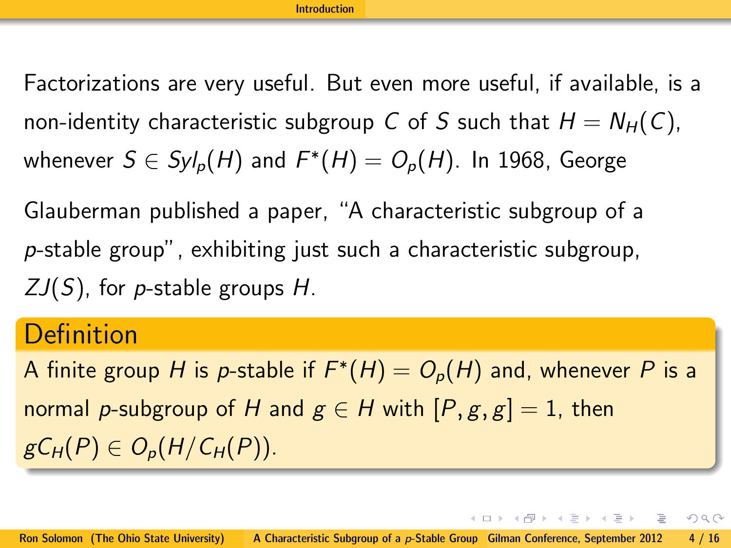Factorizations are very useful. But even more useful, if available, is a non-identity characteristic subgroup C of S such that  $H = N_H(C)$ , whenever  $S\in Syl_p(H)$  and  $F^*(H)=O_p(H)$ . In 1968, George

Glauberman published a paper, "A characteristic subgroup of a p-stable group", exhibiting just such a characteristic subgroup,  $ZJ(S)$ , for *p*-stable groups H.

## **Definition**

A finite group H is p-stable if  $F^*(H) = O_p(H)$  and, whenever  $P$  is a normal p-subgroup of H and  $g \in H$  with  $[P, g, g] = 1$ , then  $gC_H(P) \in O_p(H/C_H(P)).$ 

<span id="page-3-0"></span>イロメ イ母メ イミメ イモメー ヨー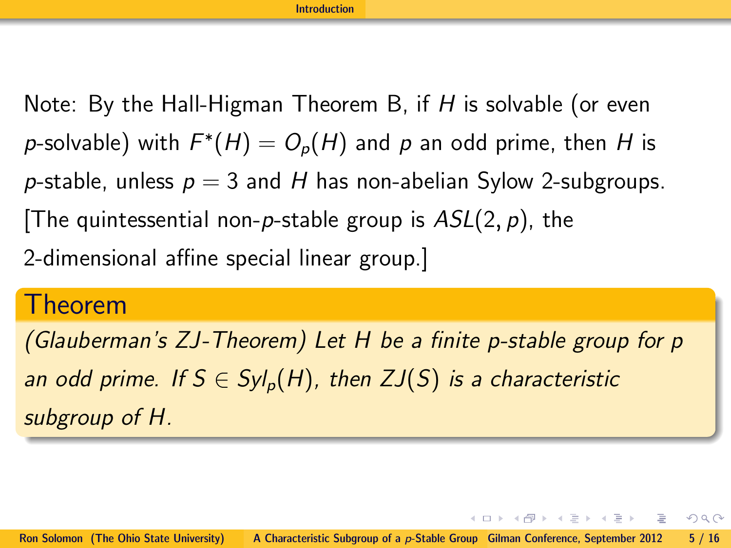Note: By the Hall-Higman Theorem B, if  $H$  is solvable (or even  $p$ -solvable) with  $F^*(H) = O_p(H)$  and  $p$  an odd prime, then  $H$  is p-stable, unless  $p = 3$  and H has non-abelian Sylow 2-subgroups. The quintessential non-p-stable group is  $ASL(2, p)$ , the 2-dimensional affine special linear group.]

## Theorem

(Glauberman's ZJ-Theorem) Let H be a finite p-stable group for p an odd prime. If  $S \in Syl_p(H)$ , then  $ZJ(S)$  is a characteristic subgroup of H.

<span id="page-4-0"></span> $A \cup B \rightarrow A \cup B \rightarrow A \cup B \rightarrow A \cup B \rightarrow A \cup B$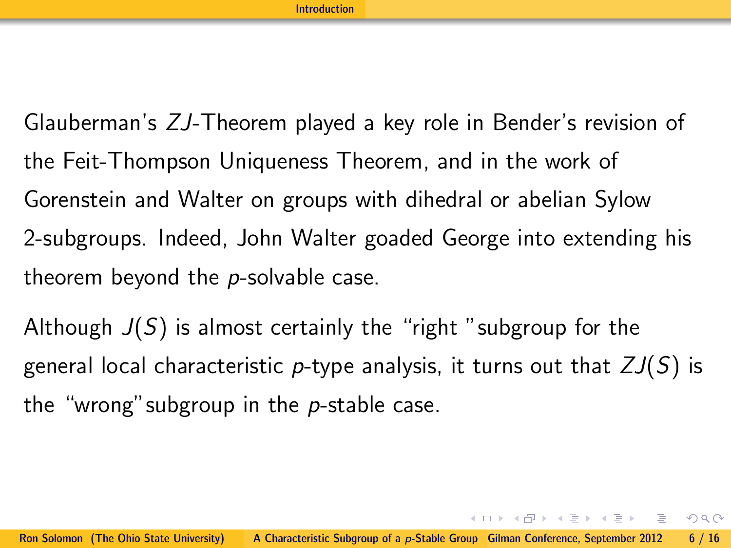Glauberman's ZJ-Theorem played a key role in Bender's revision of the Feit-Thompson Uniqueness Theorem, and in the work of Gorenstein and Walter on groups with dihedral or abelian Sylow 2-subgroups. Indeed, John Walter goaded George into extending his theorem beyond the  $p$ -solvable case.

Although  $J(S)$  is almost certainly the "right" subgroup for the general local characteristic p-type analysis, it turns out that  $ZJ(S)$  is the "wrong" subgroup in the  $p$ -stable case.

<span id="page-5-0"></span> $A \cup B \rightarrow A \cup B \rightarrow A \cup B \rightarrow A \cup B \rightarrow A \cup B$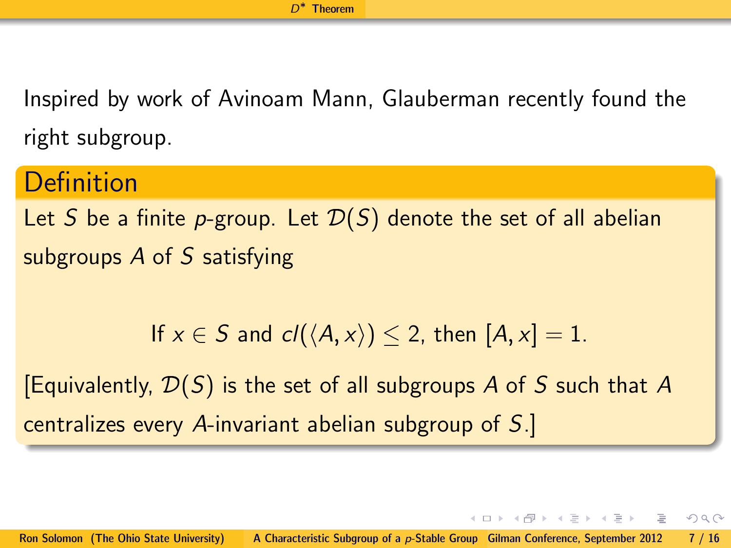Inspired by work of Avinoam Mann, Glauberman recently found the right subgroup.

## **Definition** Let S be a finite p-group. Let  $\mathcal{D}(S)$  denote the set of all abelian subgroups A of S satisfying

If 
$$
x \in S
$$
 and  $cl(\langle A, x \rangle) \leq 2$ , then  $[A, x] = 1$ .

[Equivalently,  $\mathcal{D}(S)$  is the set of all subgroups A of S such that A centralizes every A-invariant abelian subgroup of S.]

<span id="page-6-0"></span>イロト イ部 トイモト イモト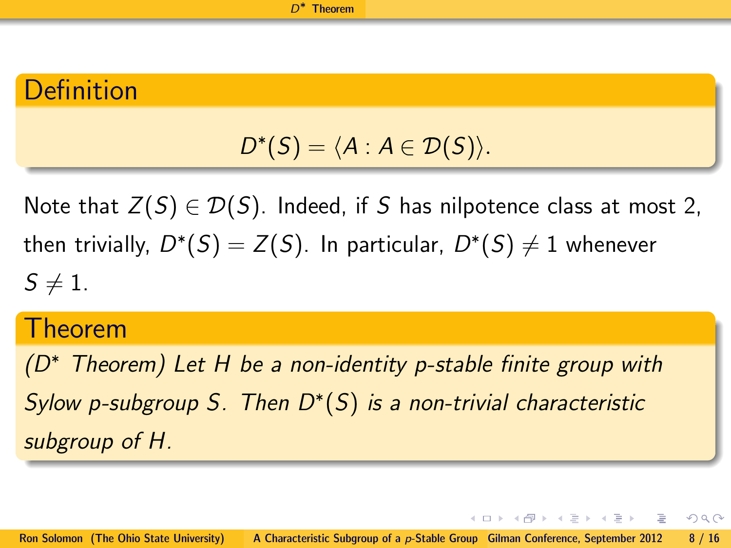## Definition

$$
D^*(S)=\langle A:A\in\mathcal{D}(S)\rangle.
$$

Note that  $Z(S) \in \mathcal{D}(S)$ . Indeed, if S has nilpotence class at most 2, then trivially,  $D^*(S) = Z(S)$ . In particular,  $D^*(S) \neq 1$  whenever  $S\neq 1$ .

#### Theorem

 $(D^*$  Theorem) Let H be a non-identity p-stable finite group with Sylow p-subgroup S. Then  $D^*(S)$  is a non-trivial characteristic subgroup of H.

イロト イ部 トイモト イモト

<span id="page-7-0"></span>- 3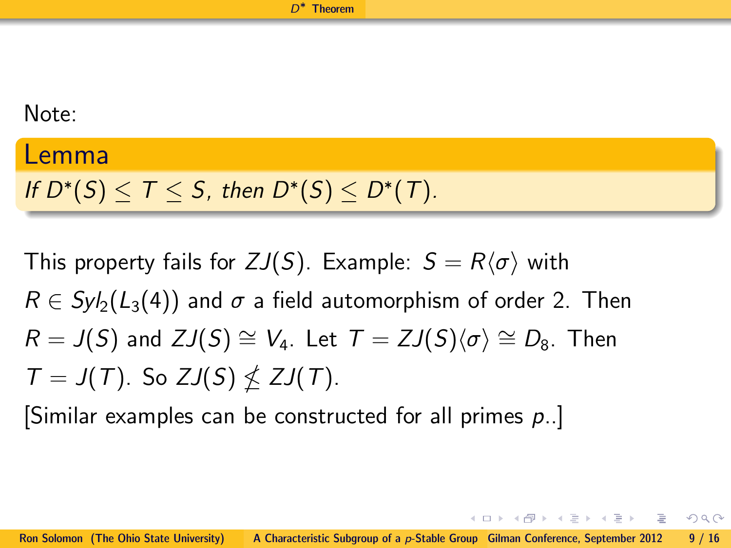#### Note:

#### Lemma

If  $D^*(S) \leq T \leq S$ , then  $D^*(S) \leq D^*(T)$ .

This property fails for  $ZJ(S)$ . Example:  $S = R\langle \sigma \rangle$  with  $R \in Syl_2(L_3(4))$  and  $\sigma$  a field automorphism of order 2. Then  $R = J(S)$  and  $ZJ(S) \cong V_4$ . Let  $T = ZJ(S)\langle \sigma \rangle \cong D_8$ . Then  $T = J(T)$ . So  $ZJ(S) \nleq ZJ(T)$ .

[Similar examples can be constructed for all primes p..]

<span id="page-8-0"></span>イロト イ母 トイヨ トイヨ トーヨ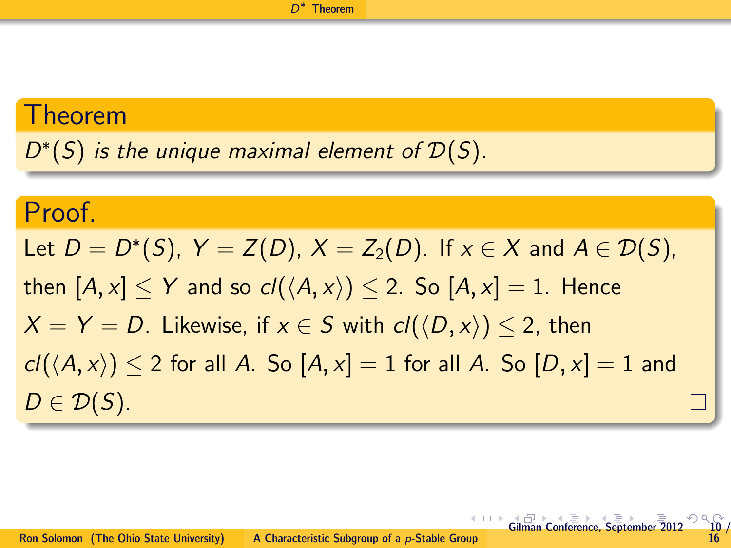#### Theorem

 $D^*(S)$  is the unique maximal element of  $\mathcal{D}(S)$ .

## Proof.

<span id="page-9-0"></span>Let  $D = D^*(S)$ ,  $Y = Z(D)$ ,  $X = Z_2(D)$ . If  $x \in X$  and  $A \in \mathcal{D}(S)$ , then  $[A, x] \leq Y$  and so  $cl(\langle A, x \rangle) \leq 2$ . So  $[A, x] = 1$ . Hence  $X = Y = D$ . Likewise, if  $x \in S$  with  $cl(\langle D, x \rangle) \leq 2$ , then  $cl(\langle A, x \rangle)$  < 2 for all A. So  $[A, x] = 1$  for all A. So  $[D, x] = 1$  and  $D \in \mathcal{D}(S)$ .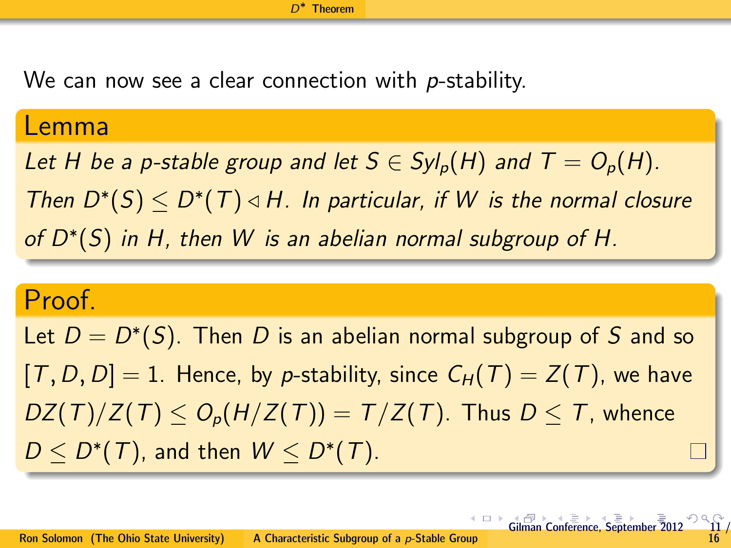We can now see a clear connection with p-stability.

#### Lemma

Let H be a p-stable group and let  $S \in Syl_p(H)$  and  $T = O_p(H)$ . Then  $D^*(S) \leq D^*(T) \triangleleft H$ . In particular, if W is the normal closure of  $D^*(S)$  in H, then W is an abelian normal subgroup of H.

## Proof.

Let  $D = D^*(S)$ . Then D is an abelian normal subgroup of S and so  $[T, D, D] = 1$ . Hence, by p-stability, since  $C_H(T) = Z(T)$ , we have  $DZ(T)/Z(T) \leq O_p(H/Z(T)) = T/Z(T)$ . Thus  $D \leq T$ , whence  $D \le D^*(T)$ , and then  $W \le D^*(T)$ .

<span id="page-10-0"></span> $\leftarrow$   $\Box$   $\rightarrow$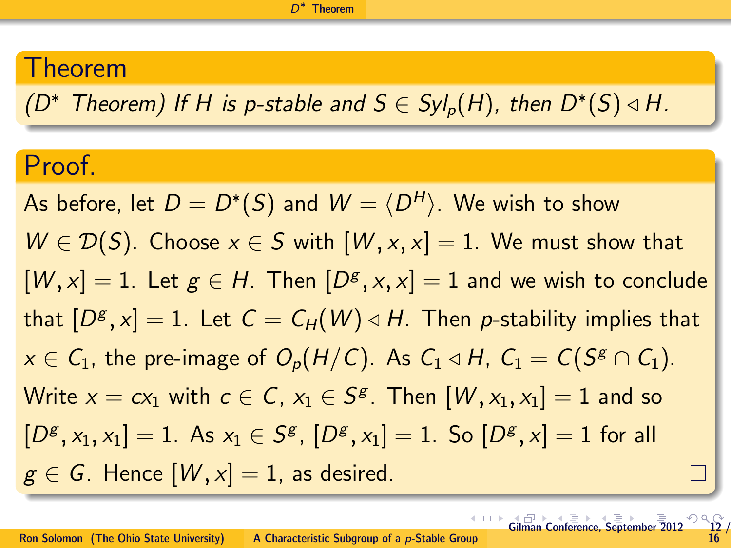## Theorem

(D<sup>\*</sup> Theorem) If H is p-stable and  $S \in Syl_p(H)$ , then  $D^*(S) \triangleleft H$ .

## Proof.

As before, let  $D=D^*(S)$  and  $W=\langle D^H \rangle.$  We wish to show  $W \in \mathcal{D}(S)$ . Choose  $x \in S$  with  $[W, x, x] = 1$ . We must show that  $[W,x] = 1$ . Let  $g \in H$ . Then  $[D^g,x,x] = 1$  and we wish to conclude that  $[D^{\mathcal{g}},x]=1.$  Let  $\mathcal{C}=\mathcal{C}_\mathcal{H}(\mathcal{W})\triangleleft H.$  Then  $p$ -stability implies that  $x \in \mathcal{C}_1$ , the pre-image of  $\mathcal{O}_p(H/\mathcal{C})$ . As  $\mathcal{C}_1 \triangleleft H$ ,  $\mathcal{C}_1 = \mathcal{C}(S^g \cap \mathcal{C}_1)$ . Write  $x = c x_1$  with  $c \in \mathcal{C}$ ,  $x_1 \in \mathcal{S}^{\mathcal{S}}$ . Then  $[\mathcal{W}, x_1, x_1] = 1$  and so  $[D^g, x_1, x_1] = 1$ . As  $x_1 \in S^g$ ,  $[D^g, x_1] = 1$ . So  $[D^g, x] = 1$  for all  $g \in G$ . Hence  $[W, x] = 1$ , as desired.

<span id="page-11-0"></span>[Gil](#page-10-0)[man](#page-11-0) [C](#page-12-0)[on](#page-5-0)[fe](#page-6-0)[rence](#page-15-0)[,](#page-5-0) [Se](#page-6-0)[ptem](#page-15-0)[ber](#page-0-0)  $\overline{\overline{2}}012$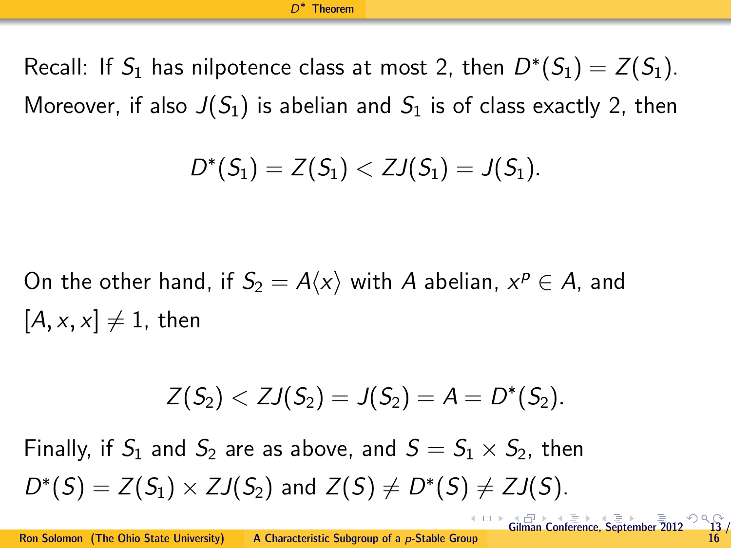Recall: If  $S_1$  has nilpotence class at most 2, then  $D^*(S_1) = Z(S_1)$ . Moreover, if also  $J(S_1)$  is abelian and  $S_1$  is of class exactly 2, then

$$
D^*(S_1) = Z(S_1) < ZJ(S_1) = J(S_1).
$$

On the other hand, if  $S_2 = A\langle x\rangle$  with  $A$  abelian,  $x^p \in A$ , and  $[A, x, x] \neq 1$ , then

<span id="page-12-0"></span>
$$
Z(S_2) < ZJ(S_2) = J(S_2) = A = D^*(S_2).
$$

Finally, if  $S_1$  and  $S_2$  are as above, and  $S = S_1 \times S_2$ , then  $D^*(S) = Z(S_1) \times ZJ(S_2)$  and  $Z(S) \neq D^*(S) \neq ZJ(S)$ .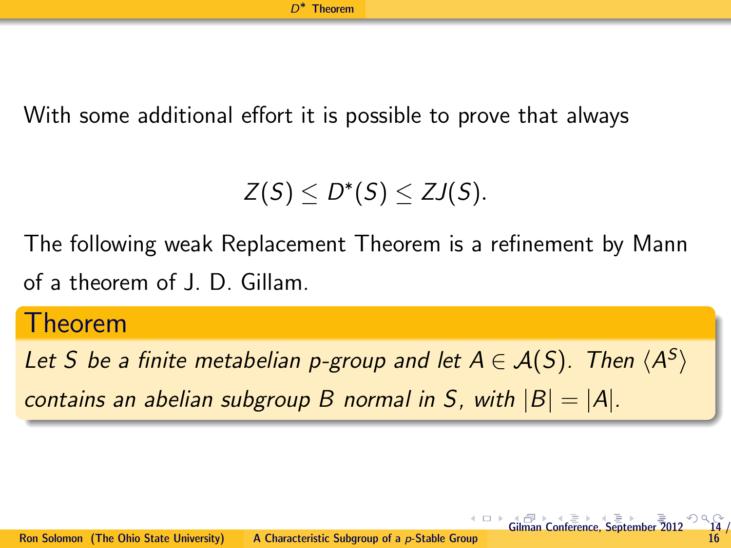With some additional effort it is possible to prove that always

 $Z(S) \leq D^*(S) \leq ZJ(S).$ 

The following weak Replacement Theorem is a refinement by Mann of a theorem of J. D. Gillam.

#### Theorem

Let S be a finite metabelian p-group and let  $A \in \mathcal{A}(S)$ . Then  $\langle A^S \rangle$ contains an abelian subgroup B normal in S, with  $|B| = |A|$ .

e[ptem](#page-15-0)[ber](#page-0-0) [2012](#page-15-0)

<span id="page-13-0"></span>16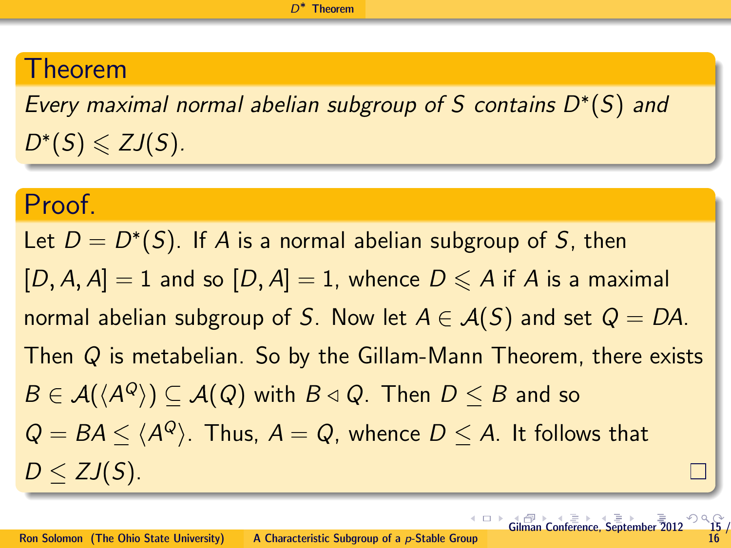## Theorem

Every maximal normal abelian subgroup of S contains  $D^*(S)$  and  $D^*(S) \leqslant ZJ(S).$ 

#### Proof.

<span id="page-14-0"></span>Let  $D = D^*(S)$ . If A is a normal abelian subgroup of S, then  $[D, A, A] = 1$  and so  $[D, A] = 1$ , whence  $D \leq A$  if A is a maximal normal abelian subgroup of S. Now let  $A \in \mathcal{A}(S)$  and set  $Q = DA$ . Then Q is metabelian. So by the Gillam-Mann Theorem, there exists  $B \in \mathcal{A}(\langle A^{Q} \rangle) \subseteq \mathcal{A}(Q)$  with  $B \triangleleft Q.$  Then  $D \leq B$  and so  $Q = BA \le \langle A^Q \rangle$ . Thus,  $A = Q$ , whence  $D \le A$ . It follows that  $D < ZJ(S)$ .